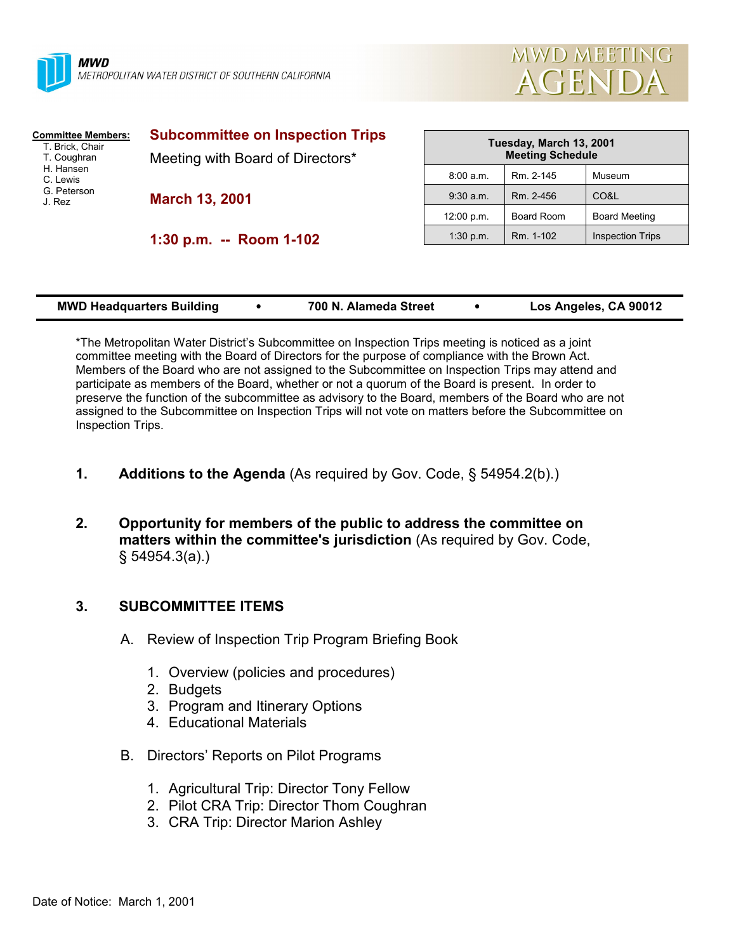



| <b>Committee Members:</b><br>T. Brick, Chair<br>T. Coughran<br>H. Hansen<br>C. Lewis<br>G. Peterson<br>J. Rez | <b>Subcommittee on Inspection Trips</b><br>Meeting with Board of Directors* | Tuesday, March 13, 2001<br><b>Meeting Schedule</b> |            |                         |
|---------------------------------------------------------------------------------------------------------------|-----------------------------------------------------------------------------|----------------------------------------------------|------------|-------------------------|
|                                                                                                               |                                                                             | 8:00 a.m.                                          | Rm. 2-145  | Museum                  |
|                                                                                                               | <b>March 13, 2001</b><br>1:30 p.m. $-$ Room 1-102                           | $9:30$ a.m.                                        | Rm. 2-456  | CO&L                    |
|                                                                                                               |                                                                             | 12:00 p.m.                                         | Board Room | <b>Board Meeting</b>    |
|                                                                                                               |                                                                             | 1:30 p.m.                                          | Rm. 1-102  | <b>Inspection Trips</b> |
|                                                                                                               |                                                                             |                                                    |            |                         |

| <b>MWD Headquarters Building</b> | 700 N. Alameda Street | Los Angeles, CA 90012 |
|----------------------------------|-----------------------|-----------------------|

\*The Metropolitan Water District's Subcommittee on Inspection Trips meeting is noticed as a joint committee meeting with the Board of Directors for the purpose of compliance with the Brown Act. Members of the Board who are not assigned to the Subcommittee on Inspection Trips may attend and participate as members of the Board, whether or not a quorum of the Board is present. In order to preserve the function of the subcommittee as advisory to the Board, members of the Board who are not assigned to the Subcommittee on Inspection Trips will not vote on matters before the Subcommittee on Inspection Trips.

- **1. Additions to the Agenda** (As required by Gov. Code, § 54954.2(b).)
- **2. Opportunity for members of the public to address the committee on matters within the committee's jurisdiction** (As required by Gov. Code, § 54954.3(a).)

## **3. SUBCOMMITTEE ITEMS**

- A. Review of Inspection Trip Program Briefing Book
	- 1. Overview (policies and procedures)
	- 2. Budgets
	- 3. Program and Itinerary Options
	- 4. Educational Materials
- B. Directors' Reports on Pilot Programs
	- 1. Agricultural Trip: Director Tony Fellow
	- 2. Pilot CRA Trip: Director Thom Coughran
	- 3. CRA Trip: Director Marion Ashley